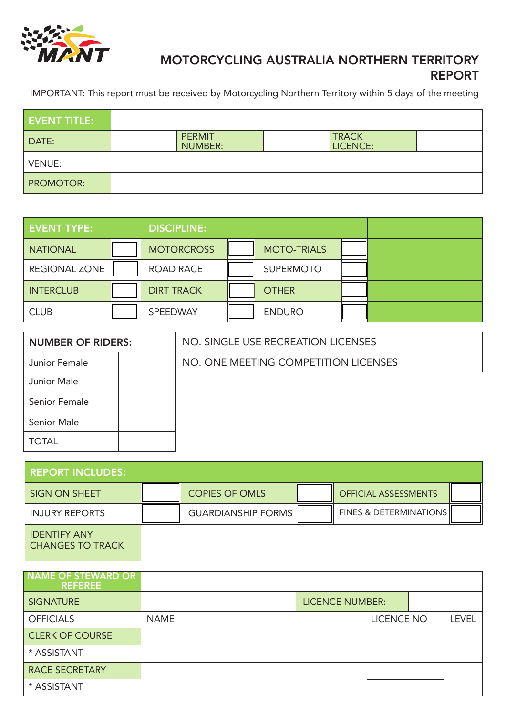

## MOTORCYCLING AUSTRALIA NORTHERN TERRITORY REPORT

IMPORTANT: This report must be received by Motorcycling Northern Territory within 5 days of the meeting

| <b>EVENT TITLE:</b> |                          |                          |  |
|---------------------|--------------------------|--------------------------|--|
| DATE:               | <b>PERMIT</b><br>NUMBER: | <b>TRACK</b><br>LICENCE: |  |
| <b>VENUE:</b>       |                          |                          |  |
| <b>PROMOTOR:</b>    |                          |                          |  |

| <b>EVENT TYPE:</b>   | <b>DISCIPLINE:</b> |                    |  |
|----------------------|--------------------|--------------------|--|
| <b>NATIONAL</b>      | <b>MOTORCROSS</b>  | <b>MOTO-TRIALS</b> |  |
| <b>REGIONAL ZONE</b> | <b>ROAD RACE</b>   | <b>SUPERMOTO</b>   |  |
| <b>INTERCLUB</b>     | <b>DIRT TRACK</b>  | <b>OTHER</b>       |  |
| <b>CLUB</b>          | SPEEDWAY           | <b>ENDURO</b>      |  |

| <b>NUMBER OF RIDERS:</b> |  | NO. SINGLE USE RECREATION LICENSES   |  |
|--------------------------|--|--------------------------------------|--|
| Junior Female            |  | NO. ONE MEETING COMPETITION LICENSES |  |
| Junior Male              |  |                                      |  |
| Senior Female            |  |                                      |  |
| Senior Male              |  |                                      |  |
| <b>TOTAL</b>             |  |                                      |  |

| <b>REPORT INCLUDES:</b>                        |                           |                                   |  |
|------------------------------------------------|---------------------------|-----------------------------------|--|
| SIGN ON SHEET                                  | <b>COPIES OF OMLS</b>     | <b>OFFICIAL ASSESSMENTS</b>       |  |
| <b>INJURY REPORTS</b>                          | <b>GUARDIANSHIP FORMS</b> | <b>FINES &amp; DETERMINATIONS</b> |  |
| <b>IDENTIFY ANY</b><br><b>CHANGES TO TRACK</b> |                           |                                   |  |

| NAME OF STEWARD OR<br><b>REFEREE</b> |             |                        |                   |              |
|--------------------------------------|-------------|------------------------|-------------------|--------------|
| <b>SIGNATURE</b>                     |             | <b>LICENCE NUMBER:</b> |                   |              |
| <b>OFFICIALS</b>                     | <b>NAME</b> |                        | <b>LICENCE NO</b> | <b>LEVEL</b> |
| <b>CLERK OF COURSE</b>               |             |                        |                   |              |
| * ASSISTANT                          |             |                        |                   |              |
| <b>RACE SECRETARY</b>                |             |                        |                   |              |
| * ASSISTANT                          |             |                        |                   |              |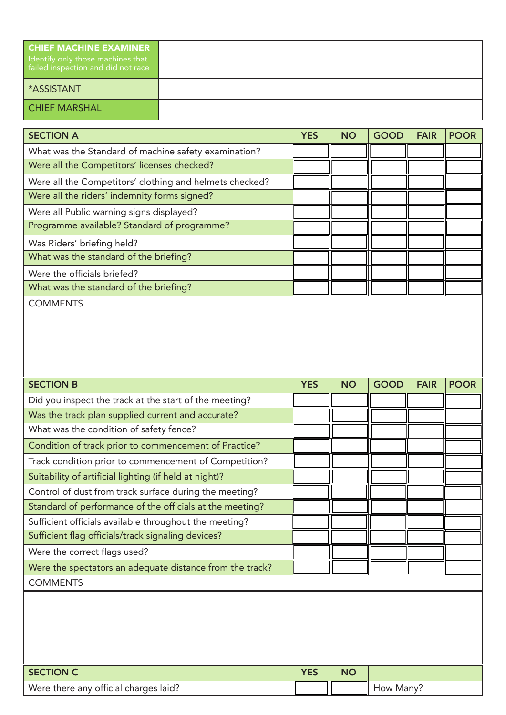| <b>CHIEF MACHINE EXAMINER</b><br>I Identify only those machines that<br>failed inspection and did not race |
|------------------------------------------------------------------------------------------------------------|
| <b>ASSISTANT</b>                                                                                           |
| <b>CHIEF MARSHAL</b>                                                                                       |

| <b>SECTION A</b>                                        | <b>YES</b> | <b>NO</b> | <b>GOOD</b> | <b>FAIR</b> | <b>POOR</b> |
|---------------------------------------------------------|------------|-----------|-------------|-------------|-------------|
| What was the Standard of machine safety examination?    |            |           |             |             |             |
| Were all the Competitors' licenses checked?             |            |           |             |             |             |
| Were all the Competitors' clothing and helmets checked? |            |           |             |             |             |
| Were all the riders' indemnity forms signed?            |            |           |             |             |             |
| Were all Public warning signs displayed?                |            |           |             |             |             |
| Programme available? Standard of programme?             |            |           |             |             |             |
| Was Riders' briefing held?                              |            |           |             |             |             |
| What was the standard of the briefing?                  |            |           |             |             |             |
| Were the officials briefed?                             |            |           |             |             |             |
| What was the standard of the briefing?                  |            |           |             |             |             |
| <b>COMMENTS</b>                                         |            |           |             |             |             |

| <b>SECTION B</b>                                         | <b>YES</b> | <b>NO</b> | <b>GOOD</b> | <b>FAIR</b> | <b>POOR</b> |
|----------------------------------------------------------|------------|-----------|-------------|-------------|-------------|
| Did you inspect the track at the start of the meeting?   |            |           |             |             |             |
| Was the track plan supplied current and accurate?        |            |           |             |             |             |
| What was the condition of safety fence?                  |            |           |             |             |             |
| Condition of track prior to commencement of Practice?    |            |           |             |             |             |
| Track condition prior to commencement of Competition?    |            |           |             |             |             |
| Suitability of artificial lighting (if held at night)?   |            |           |             |             |             |
| Control of dust from track surface during the meeting?   |            |           |             |             |             |
| Standard of performance of the officials at the meeting? |            |           |             |             |             |
| Sufficient officials available throughout the meeting?   |            |           |             |             |             |
| Sufficient flag officials/track signaling devices?       |            |           |             |             |             |
| Were the correct flags used?                             |            |           |             |             |             |
| Were the spectators an adequate distance from the track? |            |           |             |             |             |
| <b>COMMENTS</b>                                          |            |           |             |             |             |
|                                                          |            |           |             |             |             |
|                                                          |            |           |             |             |             |
|                                                          |            |           |             |             |             |
|                                                          |            |           |             |             |             |

| SECTION C                             | VEC | NC |           |
|---------------------------------------|-----|----|-----------|
| Were there any official charges laid? |     |    | How Many? |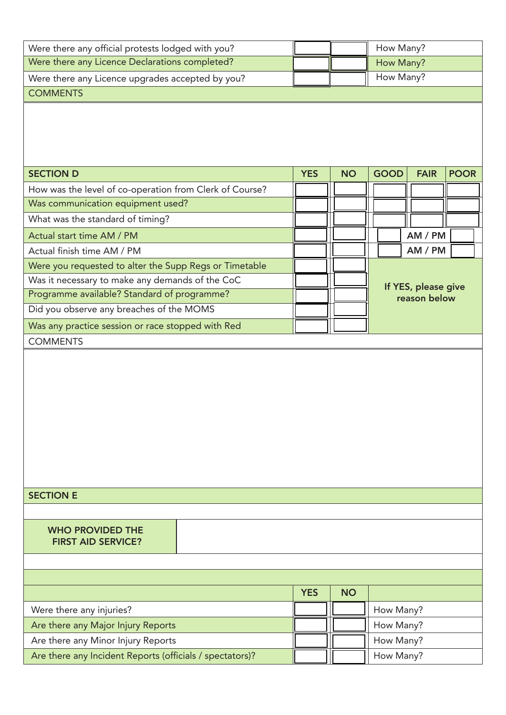| Were there any official protests lodged with you?        |            |           |             | How Many?                           |             |
|----------------------------------------------------------|------------|-----------|-------------|-------------------------------------|-------------|
| Were there any Licence Declarations completed?           |            |           |             | How Many?                           |             |
| Were there any Licence upgrades accepted by you?         |            | How Many? |             |                                     |             |
| <b>COMMENTS</b>                                          |            |           |             |                                     |             |
| <b>SECTION D</b>                                         | <b>YES</b> | <b>NO</b> | <b>GOOD</b> | <b>FAIR</b>                         | <b>POOR</b> |
| How was the level of co-operation from Clerk of Course?  |            |           |             |                                     |             |
| Was communication equipment used?                        |            |           |             |                                     |             |
| What was the standard of timing?                         |            |           |             |                                     |             |
| Actual start time AM / PM                                |            |           |             | AM / PM                             |             |
| Actual finish time AM / PM                               |            |           |             | AM / PM                             |             |
| Were you requested to alter the Supp Regs or Timetable   |            |           |             |                                     |             |
| Was it necessary to make any demands of the CoC          |            |           |             |                                     |             |
| Programme available? Standard of programme?              |            |           |             | If YES, please give<br>reason below |             |
| Did you observe any breaches of the MOMS                 |            |           |             |                                     |             |
| Was any practice session or race stopped with Red        |            |           |             |                                     |             |
| <b>COMMENTS</b>                                          |            |           |             |                                     |             |
| <b>SECTION E</b>                                         |            |           |             |                                     |             |
|                                                          |            |           |             |                                     |             |
| <b>WHO PROVIDED THE</b><br><b>FIRST AID SERVICE?</b>     |            |           |             |                                     |             |
|                                                          |            |           |             |                                     |             |
|                                                          | <b>YES</b> | <b>NO</b> |             |                                     |             |
| Were there any injuries?                                 |            |           | How Many?   |                                     |             |
| Are there any Major Injury Reports                       |            |           | How Many?   |                                     |             |
| Are there any Minor Injury Reports                       |            |           |             |                                     |             |
| Are there any Incident Reports (officials / spectators)? |            |           |             | How Many?                           |             |